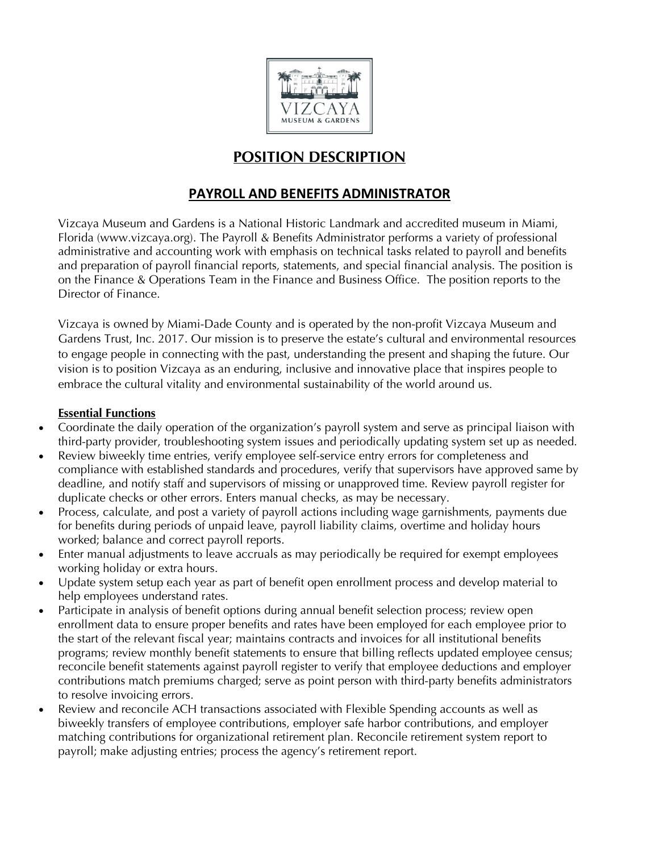

# **POSITION DESCRIPTION**

## **PAYROLL AND BENEFITS ADMINISTRATOR**

Vizcaya Museum and Gardens is a National Historic Landmark and accredited museum in Miami, Florida (www.vizcaya.org). The Payroll & Benefits Administrator performs a variety of professional administrative and accounting work with emphasis on technical tasks related to payroll and benefits and preparation of payroll financial reports, statements, and special financial analysis. The position is on the Finance & Operations Team in the Finance and Business Office. The position reports to the Director of Finance.

Vizcaya is owned by Miami-Dade County and is operated by the non-profit Vizcaya Museum and Gardens Trust, Inc. 2017. Our mission is to preserve the estate's cultural and environmental resources to engage people in connecting with the past, understanding the present and shaping the future. Our vision is to position Vizcaya as an enduring, inclusive and innovative place that inspires people to embrace the cultural vitality and environmental sustainability of the world around us.

#### **Essential Functions**

- Coordinate the daily operation of the organization's payroll system and serve as principal liaison with third-party provider, troubleshooting system issues and periodically updating system set up as needed.
- Review biweekly time entries, verify employee self-service entry errors for completeness and compliance with established standards and procedures, verify that supervisors have approved same by deadline, and notify staff and supervisors of missing or unapproved time. Review payroll register for duplicate checks or other errors. Enters manual checks, as may be necessary.
- Process, calculate, and post a variety of payroll actions including wage garnishments, payments due for benefits during periods of unpaid leave, payroll liability claims, overtime and holiday hours worked; balance and correct payroll reports.
- Enter manual adjustments to leave accruals as may periodically be required for exempt employees working holiday or extra hours.
- Update system setup each year as part of benefit open enrollment process and develop material to help employees understand rates.
- Participate in analysis of benefit options during annual benefit selection process; review open enrollment data to ensure proper benefits and rates have been employed for each employee prior to the start of the relevant fiscal year; maintains contracts and invoices for all institutional benefits programs; review monthly benefit statements to ensure that billing reflects updated employee census; reconcile benefit statements against payroll register to verify that employee deductions and employer contributions match premiums charged; serve as point person with third-party benefits administrators to resolve invoicing errors.
- Review and reconcile ACH transactions associated with Flexible Spending accounts as well as biweekly transfers of employee contributions, employer safe harbor contributions, and employer matching contributions for organizational retirement plan. Reconcile retirement system report to payroll; make adjusting entries; process the agency's retirement report.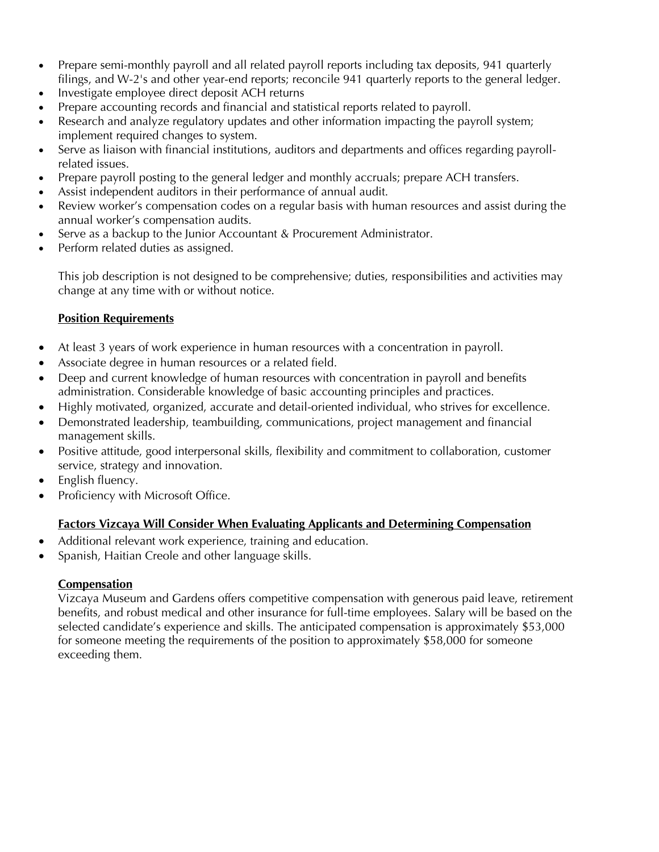- Prepare semi-monthly payroll and all related payroll reports including tax deposits, 941 quarterly filings, and W-2's and other year-end reports; reconcile 941 quarterly reports to the general ledger.
- Investigate employee direct deposit ACH returns
- Prepare accounting records and financial and statistical reports related to payroll.
- Research and analyze regulatory updates and other information impacting the payroll system; implement required changes to system.
- Serve as liaison with financial institutions, auditors and departments and offices regarding payrollrelated issues.
- Prepare payroll posting to the general ledger and monthly accruals; prepare ACH transfers.
- Assist independent auditors in their performance of annual audit.
- Review worker's compensation codes on a regular basis with human resources and assist during the annual worker's compensation audits.
- Serve as a backup to the Junior Accountant & Procurement Administrator.
- Perform related duties as assigned.

This job description is not designed to be comprehensive; duties, responsibilities and activities may change at any time with or without notice.

#### **Position Requirements**

- At least 3 years of work experience in human resources with a concentration in payroll.
- Associate degree in human resources or a related field.
- Deep and current knowledge of human resources with concentration in payroll and benefits administration. Considerable knowledge of basic accounting principles and practices.
- Highly motivated, organized, accurate and detail-oriented individual, who strives for excellence.
- Demonstrated leadership, teambuilding, communications, project management and financial management skills.
- Positive attitude, good interpersonal skills, flexibility and commitment to collaboration, customer service, strategy and innovation.
- English fluency.
- Proficiency with Microsoft Office.

#### **Factors Vizcaya Will Consider When Evaluating Applicants and Determining Compensation**

- Additional relevant work experience, training and education.
- Spanish, Haitian Creole and other language skills.

#### **Compensation**

Vizcaya Museum and Gardens offers competitive compensation with generous paid leave, retirement benefits, and robust medical and other insurance for full-time employees. Salary will be based on the selected candidate's experience and skills. The anticipated compensation is approximately \$53,000 for someone meeting the requirements of the position to approximately \$58,000 for someone exceeding them.